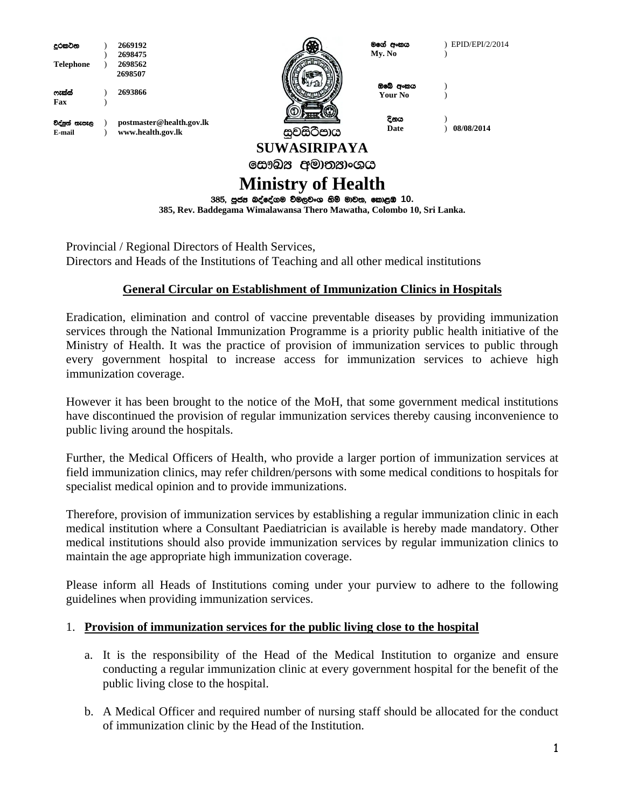| දුරකටන           |  | 2669192                                       |                                                                       | මගේ අංකය | EPID/EPI/2/2014 |
|------------------|--|-----------------------------------------------|-----------------------------------------------------------------------|----------|-----------------|
|                  |  | 2698475                                       |                                                                       | Mv. No   |                 |
| <b>Telephone</b> |  | 2698562                                       |                                                                       |          |                 |
|                  |  | 2698507                                       |                                                                       | ඔබේ අංකය |                 |
| ෆැත්ස්           |  | 2693866                                       |                                                                       | Your No  |                 |
| Fax              |  |                                               |                                                                       |          |                 |
|                  |  |                                               |                                                                       | දිනය     |                 |
| විද්පූත් තැපැල   |  | postmaster@health.gov.lk                      |                                                                       | Date     | 08/08/2014      |
| E-mail           |  | www.health.gov.lk                             | සුවසිටීපාය                                                            |          |                 |
|                  |  |                                               | <b>SUWASIRIPAYA</b>                                                   |          |                 |
|                  |  |                                               | සෞඛය අමාතයාංශය                                                        |          |                 |
|                  |  |                                               | <b>Ministry of Health</b>                                             |          |                 |
|                  |  | 385, පූජස බද්දේගම විමලවංග හිමි මාවත, කොළඹ 10. |                                                                       |          |                 |
|                  |  |                                               | 385, Rev. Baddegama Wimalawansa Thero Mawatha, Colombo 10, Sri Lanka. |          |                 |

Provincial / Regional Directors of Health Services, Directors and Heads of the Institutions of Teaching and all other medical institutions

## **General Circular on Establishment of Immunization Clinics in Hospitals**

Eradication, elimination and control of vaccine preventable diseases by providing immunization services through the National Immunization Programme is a priority public health initiative of the Ministry of Health. It was the practice of provision of immunization services to public through every government hospital to increase access for immunization services to achieve high immunization coverage.

However it has been brought to the notice of the MoH, that some government medical institutions have discontinued the provision of regular immunization services thereby causing inconvenience to public living around the hospitals.

Further, the Medical Officers of Health, who provide a larger portion of immunization services at field immunization clinics, may refer children/persons with some medical conditions to hospitals for specialist medical opinion and to provide immunizations.

Therefore, provision of immunization services by establishing a regular immunization clinic in each medical institution where a Consultant Paediatrician is available is hereby made mandatory. Other medical institutions should also provide immunization services by regular immunization clinics to maintain the age appropriate high immunization coverage.

Please inform all Heads of Institutions coming under your purview to adhere to the following guidelines when providing immunization services.

## 1. **Provision of immunization services for the public living close to the hospital**

- a. It is the responsibility of the Head of the Medical Institution to organize and ensure conducting a regular immunization clinic at every government hospital for the benefit of the public living close to the hospital.
- b. A Medical Officer and required number of nursing staff should be allocated for the conduct of immunization clinic by the Head of the Institution.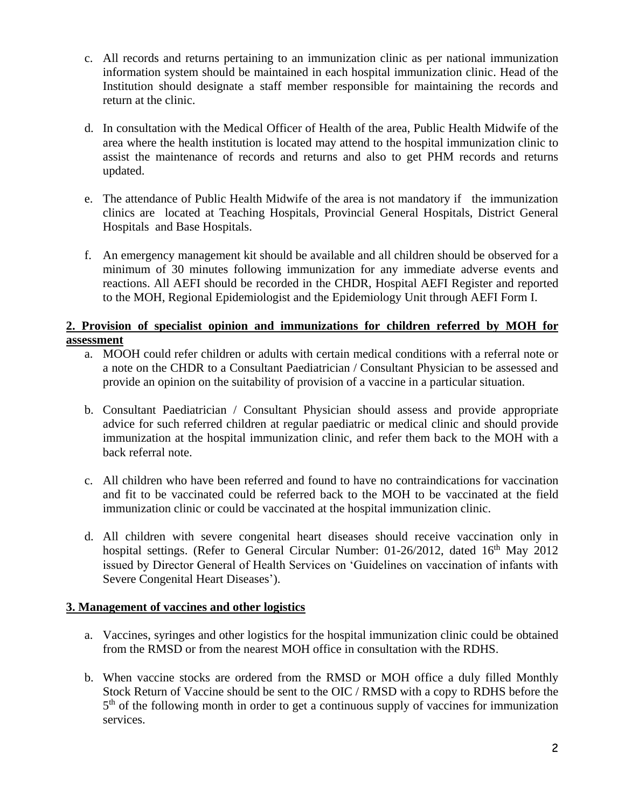- c. All records and returns pertaining to an immunization clinic as per national immunization information system should be maintained in each hospital immunization clinic. Head of the Institution should designate a staff member responsible for maintaining the records and return at the clinic.
- d. In consultation with the Medical Officer of Health of the area, Public Health Midwife of the area where the health institution is located may attend to the hospital immunization clinic to assist the maintenance of records and returns and also to get PHM records and returns updated.
- e. The attendance of Public Health Midwife of the area is not mandatory if the immunization clinics are located at Teaching Hospitals, Provincial General Hospitals, District General Hospitals and Base Hospitals.
- f. An emergency management kit should be available and all children should be observed for a minimum of 30 minutes following immunization for any immediate adverse events and reactions. All AEFI should be recorded in the CHDR, Hospital AEFI Register and reported to the MOH, Regional Epidemiologist and the Epidemiology Unit through AEFI Form I.

## **2. Provision of specialist opinion and immunizations for children referred by MOH for assessment**

- a. MOOH could refer children or adults with certain medical conditions with a referral note or a note on the CHDR to a Consultant Paediatrician / Consultant Physician to be assessed and provide an opinion on the suitability of provision of a vaccine in a particular situation.
- b. Consultant Paediatrician / Consultant Physician should assess and provide appropriate advice for such referred children at regular paediatric or medical clinic and should provide immunization at the hospital immunization clinic, and refer them back to the MOH with a back referral note.
- c. All children who have been referred and found to have no contraindications for vaccination and fit to be vaccinated could be referred back to the MOH to be vaccinated at the field immunization clinic or could be vaccinated at the hospital immunization clinic.
- d. All children with severe congenital heart diseases should receive vaccination only in hospital settings. (Refer to General Circular Number:  $01-26/2012$ , dated  $16<sup>th</sup>$  May 2012 issued by Director General of Health Services on 'Guidelines on vaccination of infants with Severe Congenital Heart Diseases').

## **3. Management of vaccines and other logistics**

- a. Vaccines, syringes and other logistics for the hospital immunization clinic could be obtained from the RMSD or from the nearest MOH office in consultation with the RDHS.
- b. When vaccine stocks are ordered from the RMSD or MOH office a duly filled Monthly Stock Return of Vaccine should be sent to the OIC / RMSD with a copy to RDHS before the 5<sup>th</sup> of the following month in order to get a continuous supply of vaccines for immunization services.